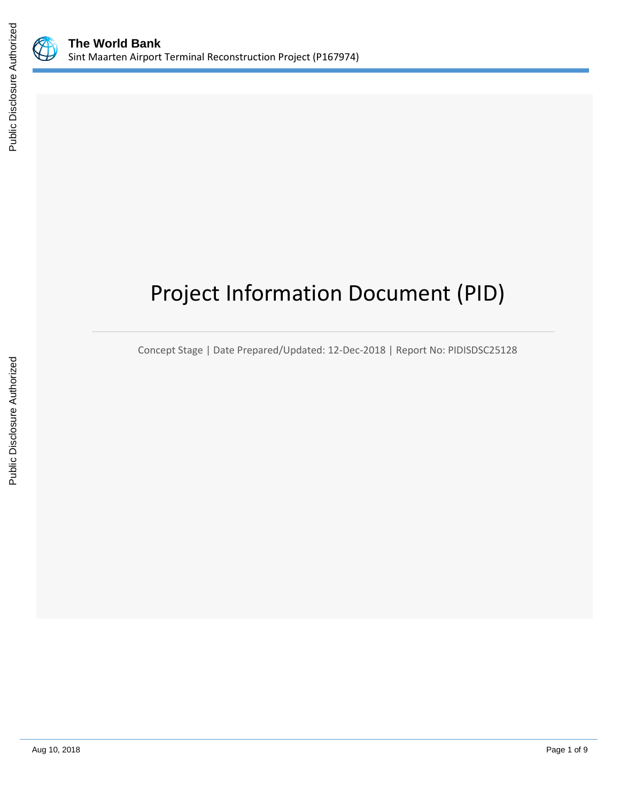

# Project Information Document (PID)

Concept Stage | Date Prepared/Updated: 12-Dec-2018 | Report No: PIDISDSC25128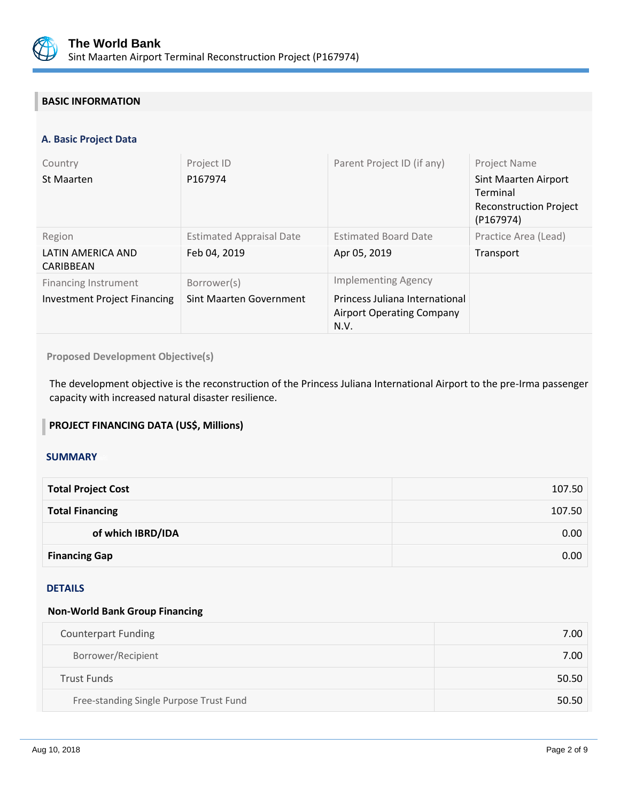

# **BASIC INFORMATION**

# **A. Basic Project Data**

| Country<br>St Maarten                                              | Project ID<br>P167974                           | Parent Project ID (if any)                                                                               | <b>Project Name</b><br>Sint Maarten Airport<br>Terminal<br><b>Reconstruction Project</b><br>(P167974) |
|--------------------------------------------------------------------|-------------------------------------------------|----------------------------------------------------------------------------------------------------------|-------------------------------------------------------------------------------------------------------|
| Region<br>LATIN AMERICA AND<br>CARIBBEAN                           | <b>Estimated Appraisal Date</b><br>Feb 04, 2019 | <b>Estimated Board Date</b><br>Apr 05, 2019                                                              | Practice Area (Lead)<br>Transport                                                                     |
| <b>Financing Instrument</b><br><b>Investment Project Financing</b> | Borrower(s)<br>Sint Maarten Government          | <b>Implementing Agency</b><br>Princess Juliana International<br><b>Airport Operating Company</b><br>N.V. |                                                                                                       |

**Proposed Development Objective(s)** 

The development objective is the reconstruction of the Princess Juliana International Airport to the pre-Irma passenger capacity with increased natural disaster resilience.

# **PROJECT FINANCING DATA (US\$, Millions)**

#### **SUMMARY**

| <b>Total Project Cost</b> | 107.50 |
|---------------------------|--------|
| <b>Total Financing</b>    | 107.50 |
| of which IBRD/IDA         | 0.00   |
| <b>Financing Gap</b>      | 0.00   |

#### DETAILS

# **Non-World Bank Group Financing**

| <b>Counterpart Funding</b>              | 7.00  |
|-----------------------------------------|-------|
| Borrower/Recipient                      | 7.00  |
| <b>Trust Funds</b>                      | 50.50 |
| Free-standing Single Purpose Trust Fund | 50.50 |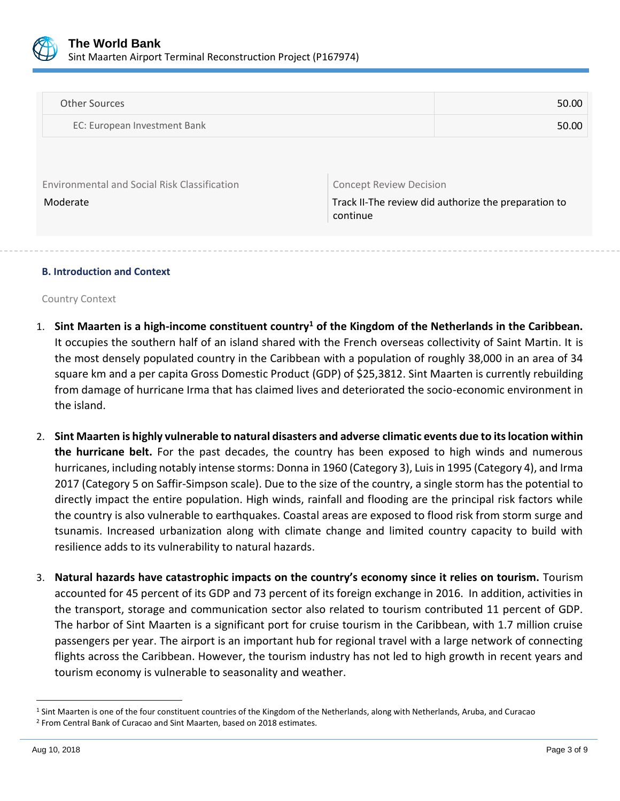

| <b>Other Sources</b>                         | 50.00                                                |  |
|----------------------------------------------|------------------------------------------------------|--|
| EC: European Investment Bank                 | 50.00                                                |  |
|                                              |                                                      |  |
|                                              |                                                      |  |
| Environmental and Social Risk Classification | <b>Concept Review Decision</b>                       |  |
| Moderate                                     | Track II-The review did authorize the preparation to |  |

continue

#### **B. Introduction and Context**

Country Context

- 1. **Sint Maarten is a high-income constituent country<sup>1</sup> of the Kingdom of the Netherlands in the Caribbean.** It occupies the southern half of an island shared with the French overseas collectivity of Saint Martin. It is the most densely populated country in the Caribbean with a population of roughly 38,000 in an area of 34 square km and a per capita Gross Domestic Product (GDP) of \$25,3812. Sint Maarten is currently rebuilding from damage of hurricane Irma that has claimed lives and deteriorated the socio-economic environment in the island.
- 2. **Sint Maarten is highly vulnerable to natural disasters and adverse climatic events due to its location within the hurricane belt.** For the past decades, the country has been exposed to high winds and numerous hurricanes, including notably intense storms: Donna in 1960 (Category 3), Luis in 1995 (Category 4), and Irma 2017 (Category 5 on Saffir-Simpson scale). Due to the size of the country, a single storm has the potential to directly impact the entire population. High winds, rainfall and flooding are the principal risk factors while the country is also vulnerable to earthquakes. Coastal areas are exposed to flood risk from storm surge and tsunamis. Increased urbanization along with climate change and limited country capacity to build with resilience adds to its vulnerability to natural hazards.
- 3. **Natural hazards have catastrophic impacts on the country's economy since it relies on tourism.** Tourism accounted for 45 percent of its GDP and 73 percent of its foreign exchange in 2016. In addition, activities in the transport, storage and communication sector also related to tourism contributed 11 percent of GDP. The harbor of Sint Maarten is a significant port for cruise tourism in the Caribbean, with 1.7 million cruise passengers per year. The airport is an important hub for regional travel with a large network of connecting flights across the Caribbean. However, the tourism industry has not led to high growth in recent years and tourism economy is vulnerable to seasonality and weather.

 $\overline{a}$ 

<sup>&</sup>lt;sup>1</sup> Sint Maarten is one of the four constituent countries of the Kingdom of the Netherlands, along with Netherlands, Aruba, and Curacao

<sup>2</sup> From Central Bank of Curacao and Sint Maarten, based on 2018 estimates.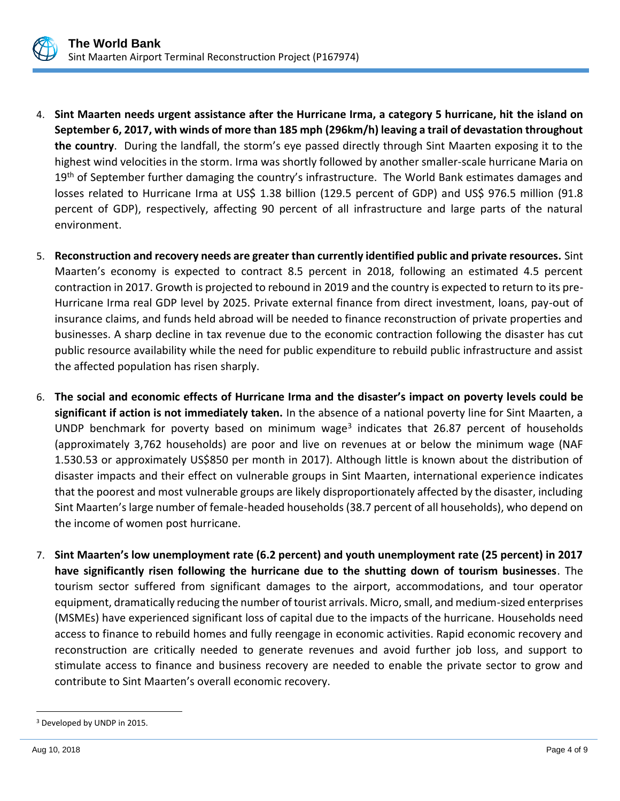

- 4. **Sint Maarten needs urgent assistance after the Hurricane Irma, a category 5 hurricane, hit the island on September 6, 2017, with winds of more than 185 mph (296km/h) leaving a trail of devastation throughout the country**. During the landfall, the storm's eye passed directly through Sint Maarten exposing it to the highest wind velocities in the storm. Irma was shortly followed by another smaller-scale hurricane Maria on 19<sup>th</sup> of September further damaging the country's infrastructure. The World Bank estimates damages and losses related to Hurricane Irma at US\$ 1.38 billion (129.5 percent of GDP) and US\$ 976.5 million (91.8 percent of GDP), respectively, affecting 90 percent of all infrastructure and large parts of the natural environment.
- 5. **Reconstruction and recovery needs are greater than currently identified public and private resources.** Sint Maarten's economy is expected to contract 8.5 percent in 2018, following an estimated 4.5 percent contraction in 2017. Growth is projected to rebound in 2019 and the country is expected to return to its pre-Hurricane Irma real GDP level by 2025. Private external finance from direct investment, loans, pay-out of insurance claims, and funds held abroad will be needed to finance reconstruction of private properties and businesses. A sharp decline in tax revenue due to the economic contraction following the disaster has cut public resource availability while the need for public expenditure to rebuild public infrastructure and assist the affected population has risen sharply.
- 6. **The social and economic effects of Hurricane Irma and the disaster's impact on poverty levels could be significant if action is not immediately taken.** In the absence of a national poverty line for Sint Maarten, a UNDP benchmark for poverty based on minimum wage<sup>3</sup> indicates that 26.87 percent of households (approximately 3,762 households) are poor and live on revenues at or below the minimum wage (NAF 1.530.53 or approximately US\$850 per month in 2017). Although little is known about the distribution of disaster impacts and their effect on vulnerable groups in Sint Maarten, international experience indicates that the poorest and most vulnerable groups are likely disproportionately affected by the disaster, including Sint Maarten's large number of female-headed households (38.7 percent of all households), who depend on the income of women post hurricane.
- 7. **Sint Maarten's low unemployment rate (6.2 percent) and youth unemployment rate (25 percent) in 2017 have significantly risen following the hurricane due to the shutting down of tourism businesses**. The tourism sector suffered from significant damages to the airport, accommodations, and tour operator equipment, dramatically reducing the number of tourist arrivals. Micro, small, and medium-sized enterprises (MSMEs) have experienced significant loss of capital due to the impacts of the hurricane. Households need access to finance to rebuild homes and fully reengage in economic activities. Rapid economic recovery and reconstruction are critically needed to generate revenues and avoid further job loss, and support to stimulate access to finance and business recovery are needed to enable the private sector to grow and contribute to Sint Maarten's overall economic recovery.

 $\overline{a}$ 

<sup>3</sup> Developed by UNDP in 2015.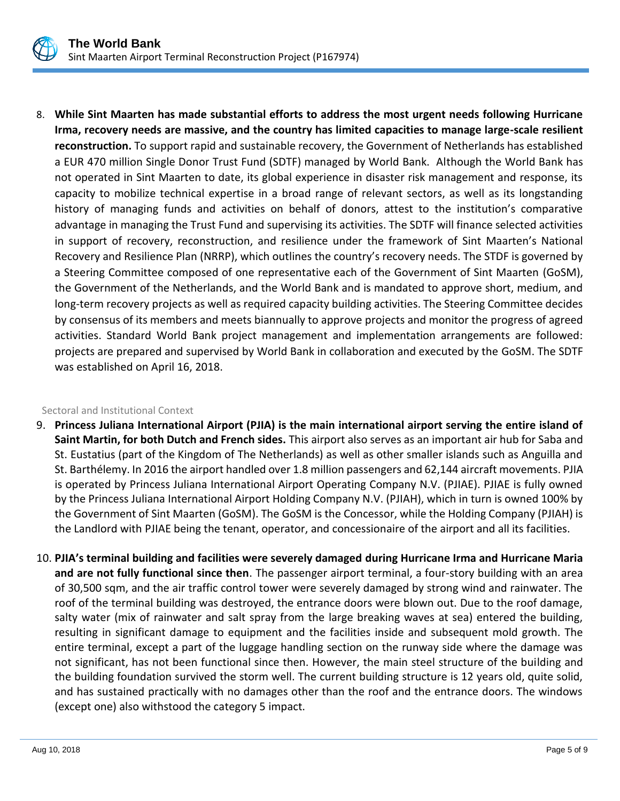

8. **While Sint Maarten has made substantial efforts to address the most urgent needs following Hurricane Irma, recovery needs are massive, and the country has limited capacities to manage large-scale resilient reconstruction.** To support rapid and sustainable recovery, the Government of Netherlands has established a EUR 470 million Single Donor Trust Fund (SDTF) managed by World Bank. Although the World Bank has not operated in Sint Maarten to date, its global experience in disaster risk management and response, its capacity to mobilize technical expertise in a broad range of relevant sectors, as well as its longstanding history of managing funds and activities on behalf of donors, attest to the institution's comparative advantage in managing the Trust Fund and supervising its activities. The SDTF will finance selected activities in support of recovery, reconstruction, and resilience under the framework of Sint Maarten's National Recovery and Resilience Plan (NRRP), which outlines the country's recovery needs. The STDF is governed by a Steering Committee composed of one representative each of the Government of Sint Maarten (GoSM), the Government of the Netherlands, and the World Bank and is mandated to approve short, medium, and long-term recovery projects as well as required capacity building activities. The Steering Committee decides by consensus of its members and meets biannually to approve projects and monitor the progress of agreed activities. Standard World Bank project management and implementation arrangements are followed: projects are prepared and supervised by World Bank in collaboration and executed by the GoSM. The SDTF was established on April 16, 2018.

#### Sectoral and Institutional Context

- 9. **Princess Juliana International Airport (PJIA) is the main international airport serving the entire island of Saint Martin, for both Dutch and French sides.** This airport also serves as an important air hub for Saba and St. Eustatius (part of the Kingdom of The Netherlands) as well as other smaller islands such as Anguilla and St. Barthélemy. In 2016 the airport handled over 1.8 million passengers and 62,144 aircraft movements. PJIA is operated by Princess Juliana International Airport Operating Company N.V. (PJIAE). PJIAE is fully owned by the Princess Juliana International Airport Holding Company N.V. (PJIAH), which in turn is owned 100% by the Government of Sint Maarten (GoSM). The GoSM is the Concessor, while the Holding Company (PJIAH) is the Landlord with PJIAE being the tenant, operator, and concessionaire of the airport and all its facilities.
- 10. **PJIA's terminal building and facilities were severely damaged during Hurricane Irma and Hurricane Maria and are not fully functional since then**. The passenger airport terminal, a four-story building with an area of 30,500 sqm, and the air traffic control tower were severely damaged by strong wind and rainwater. The roof of the terminal building was destroyed, the entrance doors were blown out. Due to the roof damage, salty water (mix of rainwater and salt spray from the large breaking waves at sea) entered the building, resulting in significant damage to equipment and the facilities inside and subsequent mold growth. The entire terminal, except a part of the luggage handling section on the runway side where the damage was not significant, has not been functional since then. However, the main steel structure of the building and the building foundation survived the storm well. The current building structure is 12 years old, quite solid, and has sustained practically with no damages other than the roof and the entrance doors. The windows (except one) also withstood the category 5 impact.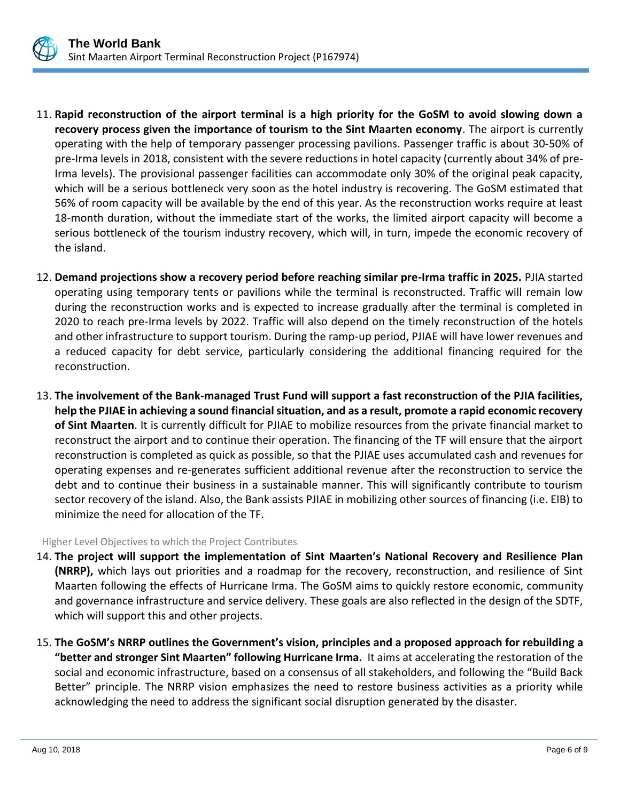

- 11. **Rapid reconstruction of the airport terminal is a high priority for the GoSM to avoid slowing down a recovery process given the importance of tourism to the Sint Maarten economy**. The airport is currently operating with the help of temporary passenger processing pavilions. Passenger traffic is about 30-50% of pre-Irma levels in 2018, consistent with the severe reductions in hotel capacity (currently about 34% of pre-Irma levels). The provisional passenger facilities can accommodate only 30% of the original peak capacity, which will be a serious bottleneck very soon as the hotel industry is recovering. The GoSM estimated that 56% of room capacity will be available by the end of this year. As the reconstruction works require at least 18-month duration, without the immediate start of the works, the limited airport capacity will become a serious bottleneck of the tourism industry recovery, which will, in turn, impede the economic recovery of the island.
- 12. **Demand projections show a recovery period before reaching similar pre-Irma traffic in 2025.** PJIA started operating using temporary tents or pavilions while the terminal is reconstructed. Traffic will remain low during the reconstruction works and is expected to increase gradually after the terminal is completed in 2020 to reach pre-Irma levels by 2022. Traffic will also depend on the timely reconstruction of the hotels and other infrastructure to support tourism. During the ramp-up period, PJIAE will have lower revenues and a reduced capacity for debt service, particularly considering the additional financing required for the reconstruction.
- 13. **The involvement of the Bank-managed Trust Fund will support a fast reconstruction of the PJIA facilities, help the PJIAE in achieving a sound financial situation, and as a result, promote a rapid economic recovery of Sint Maarten**. It is currently difficult for PJIAE to mobilize resources from the private financial market to reconstruct the airport and to continue their operation. The financing of the TF will ensure that the airport reconstruction is completed as quick as possible, so that the PJIAE uses accumulated cash and revenues for operating expenses and re-generates sufficient additional revenue after the reconstruction to service the debt and to continue their business in a sustainable manner. This will significantly contribute to tourism sector recovery of the island. Also, the Bank assists PJIAE in mobilizing other sources of financing (i.e. EIB) to minimize the need for allocation of the TF.

Higher Level Objectives to which the Project Contributes

- 14. **The project will support the implementation of Sint Maarten's National Recovery and Resilience Plan (NRRP),** which lays out priorities and a roadmap for the recovery, reconstruction, and resilience of Sint Maarten following the effects of Hurricane Irma. The GoSM aims to quickly restore economic, community and governance infrastructure and service delivery. These goals are also reflected in the design of the SDTF, which will support this and other projects.
- 15. **The GoSM's NRRP outlines the Government's vision, principles and a proposed approach for rebuilding a "better and stronger Sint Maarten" following Hurricane Irma.** It aims at accelerating the restoration of the social and economic infrastructure, based on a consensus of all stakeholders, and following the "Build Back Better" principle. The NRRP vision emphasizes the need to restore business activities as a priority while acknowledging the need to address the significant social disruption generated by the disaster.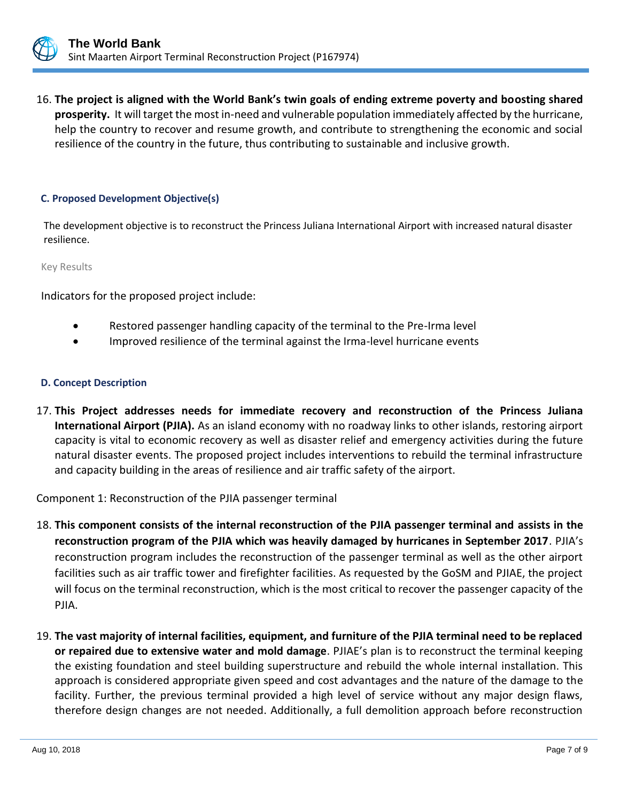

16. **The project is aligned with the World Bank's twin goals of ending extreme poverty and boosting shared prosperity.** It will target the most in-need and vulnerable population immediately affected by the hurricane, help the country to recover and resume growth, and contribute to strengthening the economic and social resilience of the country in the future, thus contributing to sustainable and inclusive growth.

# **C. Proposed Development Objective(s)**

The development objective is to reconstruct the Princess Juliana International Airport with increased natural disaster resilience.

Key Results

Indicators for the proposed project include:

- Restored passenger handling capacity of the terminal to the Pre-Irma level
- Improved resilience of the terminal against the Irma-level hurricane events

# **D. Concept Description**

17. **This Project addresses needs for immediate recovery and reconstruction of the Princess Juliana International Airport (PJIA).** As an island economy with no roadway links to other islands, restoring airport capacity is vital to economic recovery as well as disaster relief and emergency activities during the future natural disaster events. The proposed project includes interventions to rebuild the terminal infrastructure and capacity building in the areas of resilience and air traffic safety of the airport.

Component 1: Reconstruction of the PJIA passenger terminal

- 18. **This component consists of the internal reconstruction of the PJIA passenger terminal and assists in the reconstruction program of the PJIA which was heavily damaged by hurricanes in September 2017**. PJIA's reconstruction program includes the reconstruction of the passenger terminal as well as the other airport facilities such as air traffic tower and firefighter facilities. As requested by the GoSM and PJIAE, the project will focus on the terminal reconstruction, which is the most critical to recover the passenger capacity of the PJIA.
- 19. **The vast majority of internal facilities, equipment, and furniture of the PJIA terminal need to be replaced or repaired due to extensive water and mold damage**. PJIAE's plan is to reconstruct the terminal keeping the existing foundation and steel building superstructure and rebuild the whole internal installation. This approach is considered appropriate given speed and cost advantages and the nature of the damage to the facility. Further, the previous terminal provided a high level of service without any major design flaws, therefore design changes are not needed. Additionally, a full demolition approach before reconstruction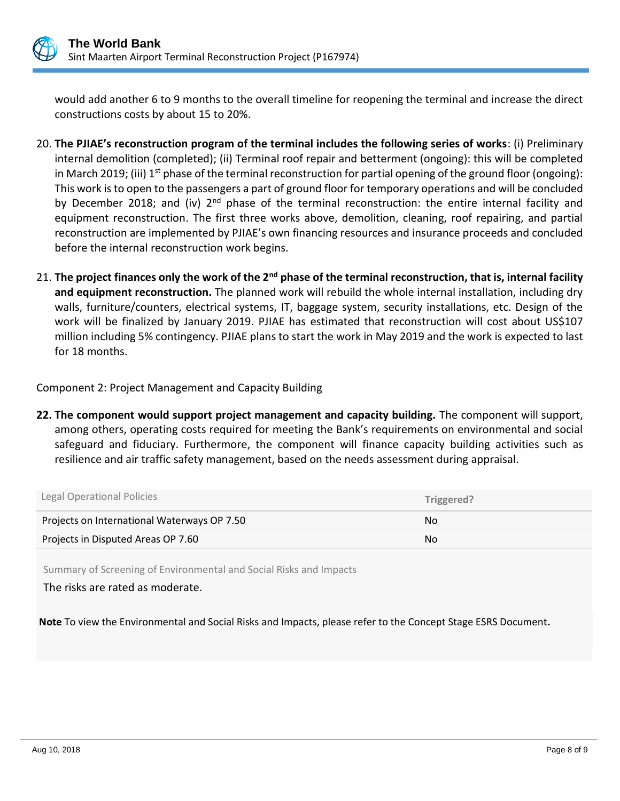

would add another 6 to 9 months to the overall timeline for reopening the terminal and increase the direct constructions costs by about 15 to 20%.

- 20. **The PJIAE's reconstruction program of the terminal includes the following series of works**: (i) Preliminary internal demolition (completed); (ii) Terminal roof repair and betterment (ongoing): this will be completed in March 2019; (iii)  $1^{st}$  phase of the terminal reconstruction for partial opening of the ground floor (ongoing): This work is to open to the passengers a part of ground floor for temporary operations and will be concluded by December 2018; and (iv) 2<sup>nd</sup> phase of the terminal reconstruction: the entire internal facility and equipment reconstruction. The first three works above, demolition, cleaning, roof repairing, and partial reconstruction are implemented by PJIAE's own financing resources and insurance proceeds and concluded before the internal reconstruction work begins.
- 21. **The project finances only the work of the 2nd phase of the terminal reconstruction, that is, internal facility and equipment reconstruction.** The planned work will rebuild the whole internal installation, including dry walls, furniture/counters, electrical systems, IT, baggage system, security installations, etc. Design of the work will be finalized by January 2019. PJIAE has estimated that reconstruction will cost about US\$107 million including 5% contingency. PJIAE plans to start the work in May 2019 and the work is expected to last for 18 months.

Component 2: Project Management and Capacity Building

**22. The component would support project management and capacity building.** The component will support, among others, operating costs required for meeting the Bank's requirements on environmental and social safeguard and fiduciary. Furthermore, the component will finance capacity building activities such as resilience and air traffic safety management, based on the needs assessment during appraisal.

| Legal Operational Policies                  | Triggered? |
|---------------------------------------------|------------|
| Projects on International Waterways OP 7.50 | No.        |
| Projects in Disputed Areas OP 7.60          | No.        |

Summary of Screening of Environmental and Social Risks and Impacts

The risks are rated as moderate.

**Note** To view the Environmental and Social Risks and Impacts, please refer to the Concept Stage ESRS Document**.**